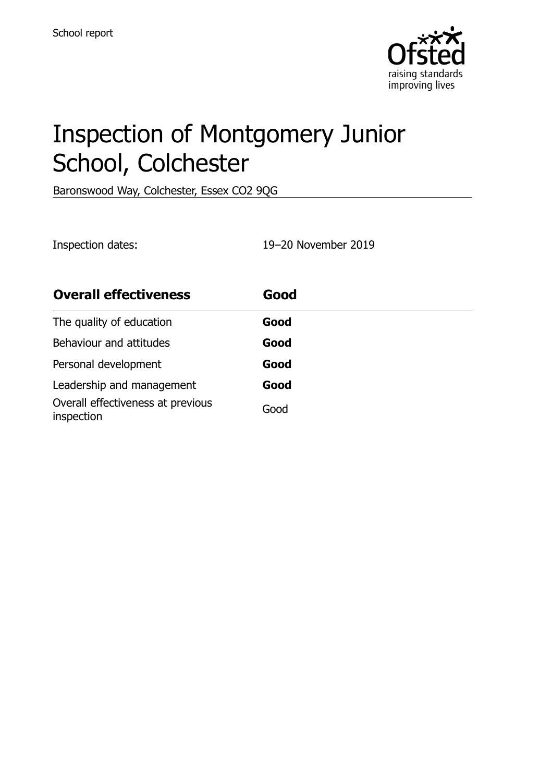

# Inspection of Montgomery Junior School, Colchester

Baronswood Way, Colchester, Essex CO2 9QG

Inspection dates: 19–20 November 2019

| <b>Overall effectiveness</b>                    | Good |
|-------------------------------------------------|------|
| The quality of education                        | Good |
| Behaviour and attitudes                         | Good |
| Personal development                            | Good |
| Leadership and management                       | Good |
| Overall effectiveness at previous<br>inspection | Good |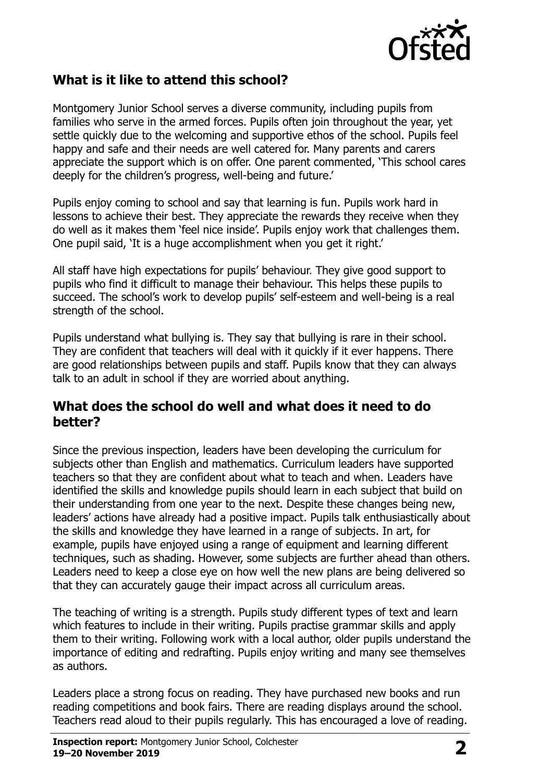

#### **What is it like to attend this school?**

Montgomery Junior School serves a diverse community, including pupils from families who serve in the armed forces. Pupils often join throughout the year, yet settle quickly due to the welcoming and supportive ethos of the school. Pupils feel happy and safe and their needs are well catered for. Many parents and carers appreciate the support which is on offer. One parent commented, 'This school cares deeply for the children's progress, well-being and future.'

Pupils enjoy coming to school and say that learning is fun. Pupils work hard in lessons to achieve their best. They appreciate the rewards they receive when they do well as it makes them 'feel nice inside'. Pupils enjoy work that challenges them. One pupil said, 'It is a huge accomplishment when you get it right.'

All staff have high expectations for pupils' behaviour. They give good support to pupils who find it difficult to manage their behaviour. This helps these pupils to succeed. The school's work to develop pupils' self-esteem and well-being is a real strength of the school.

Pupils understand what bullying is. They say that bullying is rare in their school. They are confident that teachers will deal with it quickly if it ever happens. There are good relationships between pupils and staff. Pupils know that they can always talk to an adult in school if they are worried about anything.

#### **What does the school do well and what does it need to do better?**

Since the previous inspection, leaders have been developing the curriculum for subjects other than English and mathematics. Curriculum leaders have supported teachers so that they are confident about what to teach and when. Leaders have identified the skills and knowledge pupils should learn in each subject that build on their understanding from one year to the next. Despite these changes being new, leaders' actions have already had a positive impact. Pupils talk enthusiastically about the skills and knowledge they have learned in a range of subjects. In art, for example, pupils have enjoyed using a range of equipment and learning different techniques, such as shading. However, some subjects are further ahead than others. Leaders need to keep a close eye on how well the new plans are being delivered so that they can accurately gauge their impact across all curriculum areas.

The teaching of writing is a strength. Pupils study different types of text and learn which features to include in their writing. Pupils practise grammar skills and apply them to their writing. Following work with a local author, older pupils understand the importance of editing and redrafting. Pupils enjoy writing and many see themselves as authors.

Leaders place a strong focus on reading. They have purchased new books and run reading competitions and book fairs. There are reading displays around the school. Teachers read aloud to their pupils regularly. This has encouraged a love of reading.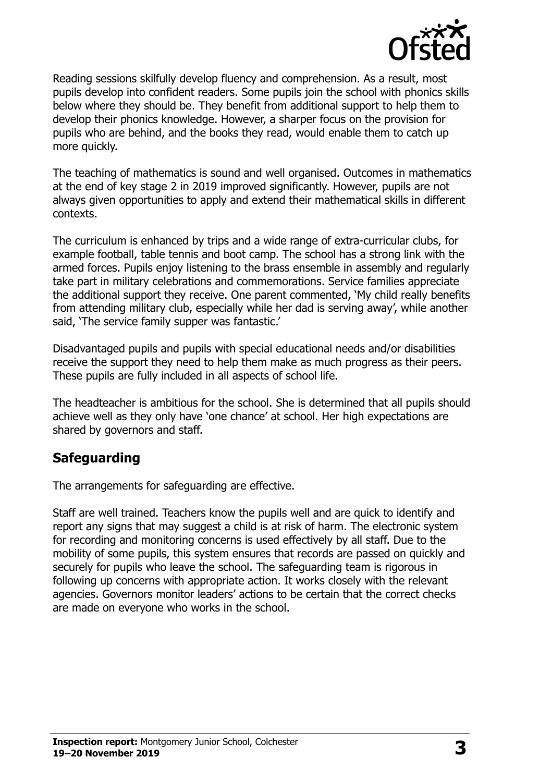

Reading sessions skilfully develop fluency and comprehension. As a result, most pupils develop into confident readers. Some pupils join the school with phonics skills below where they should be. They benefit from additional support to help them to develop their phonics knowledge. However, a sharper focus on the provision for pupils who are behind, and the books they read, would enable them to catch up more quickly.

The teaching of mathematics is sound and well organised. Outcomes in mathematics at the end of key stage 2 in 2019 improved significantly. However, pupils are not always given opportunities to apply and extend their mathematical skills in different contexts.

The curriculum is enhanced by trips and a wide range of extra-curricular clubs, for example football, table tennis and boot camp. The school has a strong link with the armed forces. Pupils enjoy listening to the brass ensemble in assembly and regularly take part in military celebrations and commemorations. Service families appreciate the additional support they receive. One parent commented, 'My child really benefits from attending military club, especially while her dad is serving away', while another said, 'The service family supper was fantastic.'

Disadvantaged pupils and pupils with special educational needs and/or disabilities receive the support they need to help them make as much progress as their peers. These pupils are fully included in all aspects of school life.

The headteacher is ambitious for the school. She is determined that all pupils should achieve well as they only have 'one chance' at school. Her high expectations are shared by governors and staff.

#### **Safeguarding**

The arrangements for safeguarding are effective.

Staff are well trained. Teachers know the pupils well and are quick to identify and report any signs that may suggest a child is at risk of harm. The electronic system for recording and monitoring concerns is used effectively by all staff. Due to the mobility of some pupils, this system ensures that records are passed on quickly and securely for pupils who leave the school. The safeguarding team is rigorous in following up concerns with appropriate action. It works closely with the relevant agencies. Governors monitor leaders' actions to be certain that the correct checks are made on everyone who works in the school.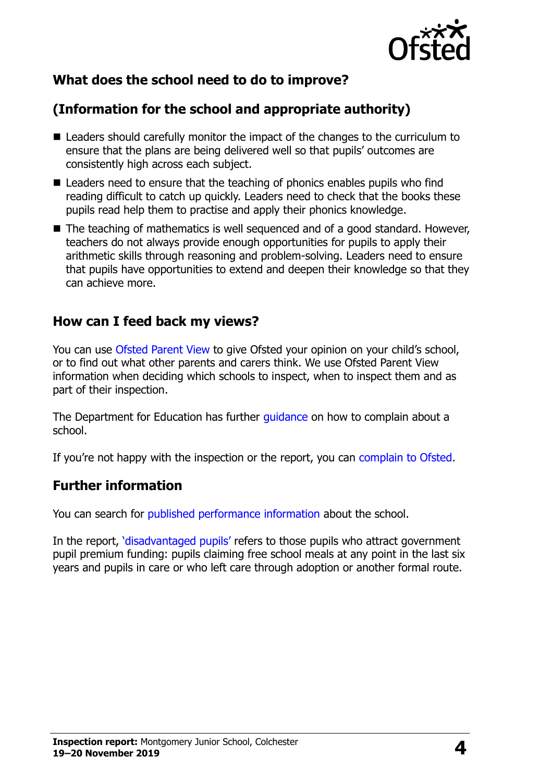

# **What does the school need to do to improve?**

# **(Information for the school and appropriate authority)**

- Leaders should carefully monitor the impact of the changes to the curriculum to ensure that the plans are being delivered well so that pupils' outcomes are consistently high across each subject.
- Leaders need to ensure that the teaching of phonics enables pupils who find reading difficult to catch up quickly. Leaders need to check that the books these pupils read help them to practise and apply their phonics knowledge.
- The teaching of mathematics is well sequenced and of a good standard. However, teachers do not always provide enough opportunities for pupils to apply their arithmetic skills through reasoning and problem-solving. Leaders need to ensure that pupils have opportunities to extend and deepen their knowledge so that they can achieve more.

### **How can I feed back my views?**

You can use [Ofsted Parent View](http://parentview.ofsted.gov.uk/) to give Ofsted your opinion on your child's school, or to find out what other parents and carers think. We use Ofsted Parent View information when deciding which schools to inspect, when to inspect them and as part of their inspection.

The Department for Education has further [guidance](http://www.gov.uk/complain-about-school) on how to complain about a school.

If you're not happy with the inspection or the report, you can [complain to Ofsted.](http://www.gov.uk/complain-ofsted-report)

# **Further information**

You can search for [published performance information](http://www.compare-school-performance.service.gov.uk/) about the school.

In the report, '[disadvantaged pupils](http://www.gov.uk/guidance/pupil-premium-information-for-schools-and-alternative-provision-settings)' refers to those pupils who attract government pupil premium funding: pupils claiming free school meals at any point in the last six years and pupils in care or who left care through adoption or another formal route.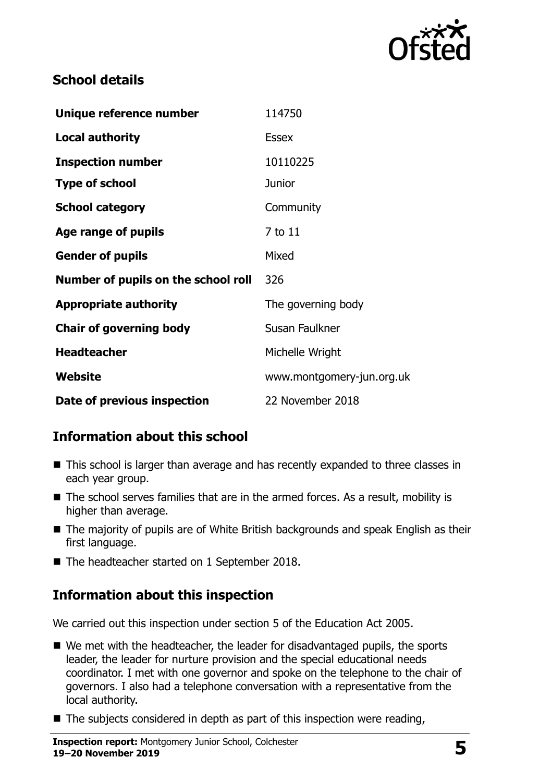

### **School details**

| Unique reference number             | 114750                    |
|-------------------------------------|---------------------------|
| <b>Local authority</b>              | <b>Essex</b>              |
| <b>Inspection number</b>            | 10110225                  |
| <b>Type of school</b>               | <b>Junior</b>             |
| <b>School category</b>              | Community                 |
| Age range of pupils                 | 7 to 11                   |
| <b>Gender of pupils</b>             | Mixed                     |
| Number of pupils on the school roll | 326                       |
| <b>Appropriate authority</b>        | The governing body        |
| <b>Chair of governing body</b>      | Susan Faulkner            |
| <b>Headteacher</b>                  | Michelle Wright           |
| <b>Website</b>                      | www.montgomery-jun.org.uk |
| Date of previous inspection         | 22 November 2018          |

# **Information about this school**

- This school is larger than average and has recently expanded to three classes in each year group.
- The school serves families that are in the armed forces. As a result, mobility is higher than average.
- The majority of pupils are of White British backgrounds and speak English as their first language.
- The headteacher started on 1 September 2018.

# **Information about this inspection**

We carried out this inspection under section 5 of the Education Act 2005.

- We met with the headteacher, the leader for disadvantaged pupils, the sports leader, the leader for nurture provision and the special educational needs coordinator. I met with one governor and spoke on the telephone to the chair of governors. I also had a telephone conversation with a representative from the local authority.
- $\blacksquare$  The subjects considered in depth as part of this inspection were reading,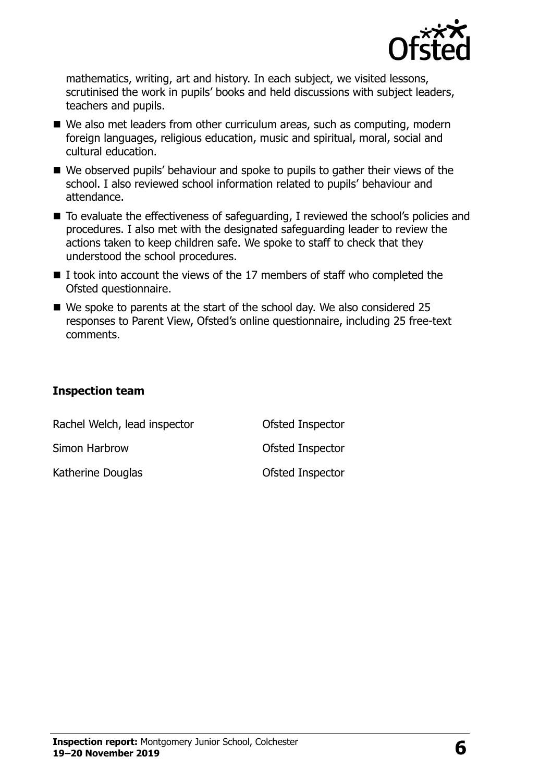

mathematics, writing, art and history. In each subject, we visited lessons, scrutinised the work in pupils' books and held discussions with subject leaders, teachers and pupils.

- We also met leaders from other curriculum areas, such as computing, modern foreign languages, religious education, music and spiritual, moral, social and cultural education.
- We observed pupils' behaviour and spoke to pupils to gather their views of the school. I also reviewed school information related to pupils' behaviour and attendance.
- To evaluate the effectiveness of safeguarding, I reviewed the school's policies and procedures. I also met with the designated safeguarding leader to review the actions taken to keep children safe. We spoke to staff to check that they understood the school procedures.
- $\blacksquare$  I took into account the views of the 17 members of staff who completed the Ofsted questionnaire.
- We spoke to parents at the start of the school day. We also considered 25 responses to Parent View, Ofsted's online questionnaire, including 25 free-text comments.

#### **Inspection team**

| Rachel Welch, lead inspector | Ofsted Inspector |
|------------------------------|------------------|
| Simon Harbrow                | Ofsted Inspector |
| Katherine Douglas            | Ofsted Inspector |